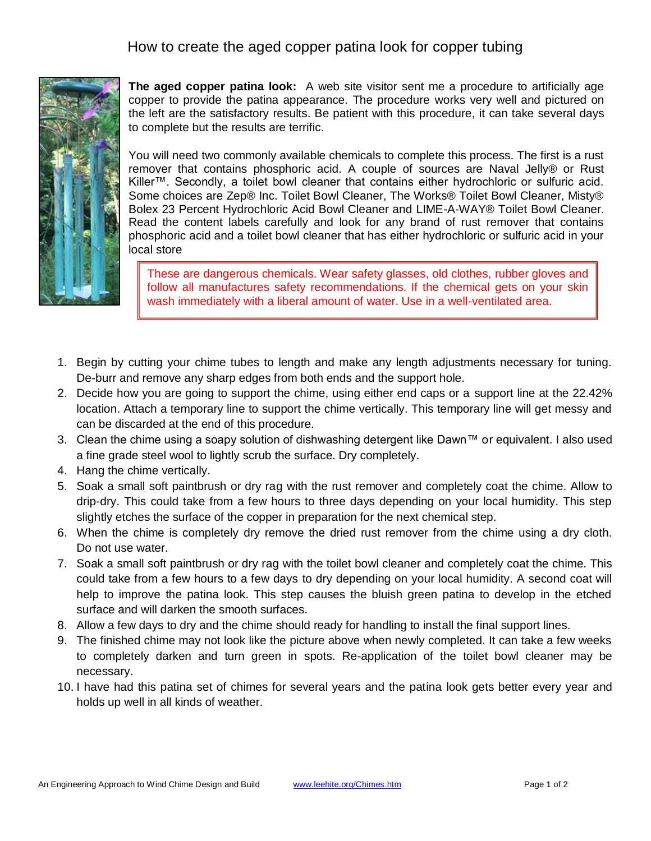## How to create the aged copper patina look for copper tubing



**The aged copper patina look:** A web site visitor sent me a procedure to artificially age copper to provide the patina appearance. The procedure works very well and pictured on the left are the satisfactory results. Be patient with this procedure, it can take several days to complete but the results are terrific.

You will need two commonly available chemicals to complete this process. The first is a rust remover that contains phosphoric acid. A couple of sources are Naval Jelly® or Rust Killer™. Secondly, a toilet bowl cleaner that contains either hydrochloric or sulfuric acid. Some choices are Zep® Inc. Toilet Bowl Cleaner, The Works® Toilet Bowl Cleaner, Misty® Bolex 23 Percent Hydrochloric Acid Bowl Cleaner and LIME-A-WAY® Toilet Bowl Cleaner. Read the content labels carefully and look for any brand of rust remover that contains phosphoric acid and a toilet bowl cleaner that has either hydrochloric or sulfuric acid in your local store

These are dangerous chemicals. Wear safety glasses, old clothes, rubber gloves and follow all manufactures safety recommendations. If the chemical gets on your skin wash immediately with a liberal amount of water. Use in a well-ventilated area.

- 1. Begin by cutting your chime tubes to length and make any length adjustments necessary for tuning. De-burr and remove any sharp edges from both ends and the support hole.
- 2. Decide how you are going to support the chime, using either end caps or a support line at the 22.42% location. Attach a temporary line to support the chime vertically. This temporary line will get messy and can be discarded at the end of this procedure.
- 3. Clean the chime using a soapy solution of dishwashing detergent like Dawn™ or equivalent. I also used a fine grade steel wool to lightly scrub the surface. Dry completely.
- 4. Hang the chime vertically.
- 5. Soak a small soft paintbrush or dry rag with the rust remover and completely coat the chime. Allow to drip-dry. This could take from a few hours to three days depending on your local humidity. This step slightly etches the surface of the copper in preparation for the next chemical step.
- 6. When the chime is completely dry remove the dried rust remover from the chime using a dry cloth. Do not use water.
- 7. Soak a small soft paintbrush or dry rag with the toilet bowl cleaner and completely coat the chime. This could take from a few hours to a few days to dry depending on your local humidity. A second coat will help to improve the patina look. This step causes the bluish green patina to develop in the etched surface and will darken the smooth surfaces.
- 8. Allow a few days to dry and the chime should ready for handling to install the final support lines.
- 9. The finished chime may not look like the picture above when newly completed. It can take a few weeks to completely darken and turn green in spots. Re-application of the toilet bowl cleaner may be necessary.
- 10. I have had this patina set of chimes for several years and the patina look gets better every year and holds up well in all kinds of weather.